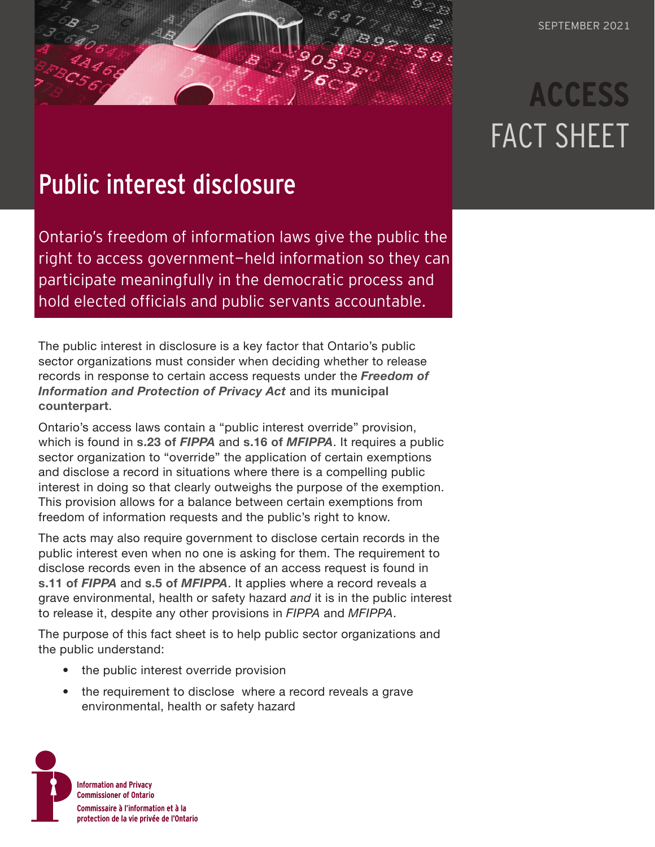# **ACCESS** FACT SHEET

## Public interest disclosure

Ontario's freedom of information laws give the public the right to access government-held information so they can participate meaningfully in the democratic process and hold elected officials and public servants accountable.

The public interest in disclosure is a key factor that Ontario's public sector organizations must consider when deciding whether to release records in response to certain access requests under the *[Freedom of](https://www.ontario.ca/laws/statute/90f31)  [Information and Protection of Privacy Act](https://www.ontario.ca/laws/statute/90f31)* and its **[municipal](https://www.ontario.ca/laws/statute/90m56)  [counterpart](https://www.ontario.ca/laws/statute/90m56)**.

Ontario's access laws contain a "public interest override" provision, which is found in **[s.23 of](https://www.ontario.ca/laws/statute/90f31#BK40)** *FIPPA* and **s.16 of** *[MFIPPA](https://www.ontario.ca/laws/statute/90m56#BK22)*. It requires a public sector organization to "override" the application of certain exemptions and disclose a record in situations where there is a compelling public interest in doing so that clearly outweighs the purpose of the exemption. This provision allows for a balance between certain exemptions from freedom of information requests and the public's right to know.

The acts may also require government to disclose certain records in the public interest even when no one is asking for them. The requirement to disclose records even in the absence of an access request is found in **[s.11 of](https://www.ontario.ca/laws/statute/90f31#BK22)** *FIPPA* and **s.5 of** *[MFIPPA](https://www.ontario.ca/laws/statute/90m56#BK7)*. It applies where a record reveals a grave environmental, health or safety hazard *and* it is in the public interest to release it, despite any other provisions in *FIPPA* and *MFIPPA*.

The purpose of this fact sheet is to help public sector organizations and the public understand:

- the public interest override provision
- the requirement to disclose where a record reveals a grave environmental, health or safety hazard

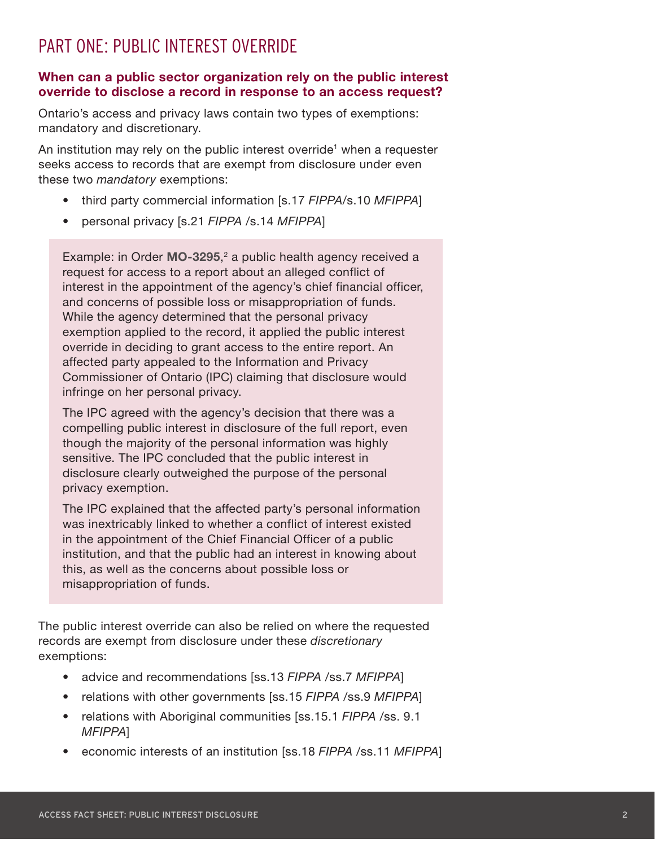### <span id="page-1-0"></span>PART ONE: PUBLIC INTEREST OVERRIDE

#### **When can a public sector organization rely on the public interest override to disclose a record in response to an access request?**

Ontario's access and privacy laws contain two types of exemptions: mandatory and discretionary.

An institution may rely on the public interest override<sup>1</sup> when a requester seeks access to records that are exempt from disclosure under even these two *mandatory* exemptions:

- third party commercial information [s.17 *FIPPA*/s.10 *MFIPPA*]
- personal privacy [s.21 *FIPPA* /s.14 *MFIPPA*]

Example: in Order **[MO-3295](https://decisions.ipc.on.ca/ipc-cipvp/orders/en/item/144742/index.do)**, [2](#page-9-0) a public health agency received a request for access to a report about an alleged conflict of interest in the appointment of the agency's chief financial officer, and concerns of possible loss or misappropriation of funds. While the agency determined that the personal privacy exemption applied to the record, it applied the public interest override in deciding to grant access to the entire report. An affected party appealed to the Information and Privacy Commissioner of Ontario (IPC) claiming that disclosure would infringe on her personal privacy.

The IPC agreed with the agency's decision that there was a compelling public interest in disclosure of the full report, even though the majority of the personal information was highly sensitive. The IPC concluded that the public interest in disclosure clearly outweighed the purpose of the personal privacy exemption.

The IPC explained that the affected party's personal information was inextricably linked to whether a conflict of interest existed in the appointment of the Chief Financial Officer of a public institution, and that the public had an interest in knowing about this, as well as the concerns about possible loss or misappropriation of funds.

The public interest override can also be relied on where the requested records are exempt from disclosure under these *discretionary* exemptions:

- advice and recommendations [ss.13 *FIPPA* /ss.7 *MFIPPA*]
- relations with other governments [ss.15 *FIPPA* /ss.9 *MFIPPA*]
- relations with Aboriginal communities [ss.15.1 *FIPPA* /ss. 9.1 *MFIPPA*]
- economic interests of an institution [ss.18 *FIPPA* /ss.11 *MFIPPA*]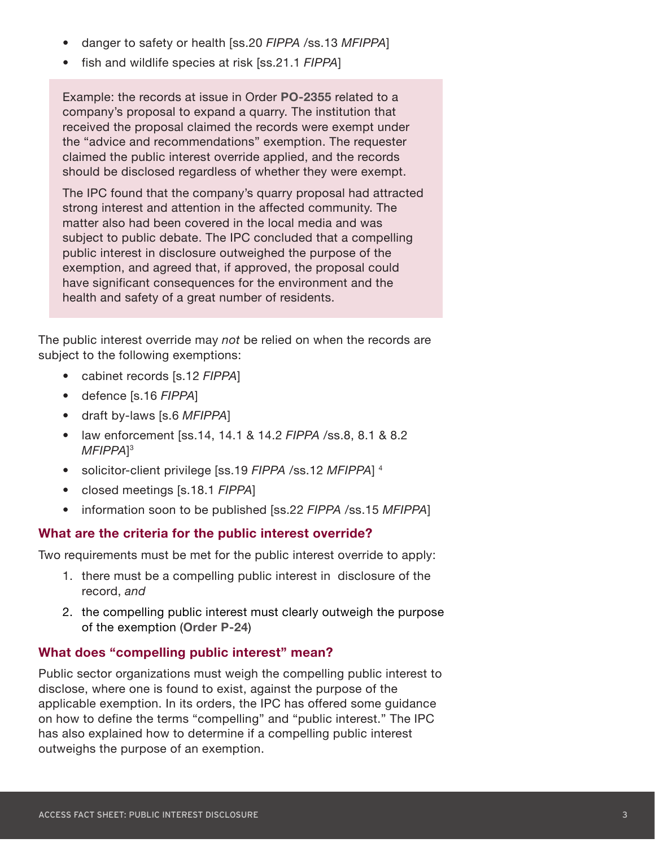- <span id="page-2-0"></span>• danger to safety or health [ss.20 *FIPPA* /ss.13 *MFIPPA*]
- fish and wildlife species at risk [ss.21.1 *FIPPA*]

Example: the records at issue in Order **[PO-2355](https://decisions.ipc.on.ca/ipc-cipvp/orders/en/item/132358/index.do?q=PO-2355+)** related to a company's proposal to expand a quarry. The institution that received the proposal claimed the records were exempt under the "advice and recommendations" exemption. The requester claimed the public interest override applied, and the records should be disclosed regardless of whether they were exempt.

The IPC found that the company's quarry proposal had attracted strong interest and attention in the affected community. The matter also had been covered in the local media and was subject to public debate. The IPC concluded that a compelling public interest in disclosure outweighed the purpose of the exemption, and agreed that, if approved, the proposal could have significant consequences for the environment and the health and safety of a great number of residents.

The public interest override may *not* be relied on when the records are subject to the following exemptions:

- cabinet records [s.12 *FIPPA*]
- defence [s.16 *FIPPA*]
- draft by-laws [s.6 *MFIPPA*]
- law enforcement [ss.14, 14.1 & 14.2 *FIPPA* /ss.8, 8.1 & 8.2 *MFIPPA*] [3](#page-9-0)
- solicitor-client privilege [ss.19 *FIPPA* /ss.12 *MFIPPA*] [4](#page-9-0)
- closed meetings [s.18.1 *FIPPA*]
- information soon to be published [ss.22 *FIPPA* /ss.15 *MFIPPA*]

#### **What are the criteria for the public interest override?**

Two requirements must be met for the public interest override to apply:

- 1. there must be a compelling public interest in disclosure of the record, *and*
- 2. the compelling public interest must clearly outweigh the purpose of the exemption (**[Order P-24](https://decisions.ipc.on.ca/ipc-cipvp/orders/en/item/127925/index.do?q=24)**)

#### **What does "compelling public interest" mean?**

Public sector organizations must weigh the compelling public interest to disclose, where one is found to exist, against the purpose of the applicable exemption. In its orders, the IPC has offered some guidance on how to define the terms "compelling" and "public interest." The IPC has also explained how to determine if a compelling public interest outweighs the purpose of an exemption.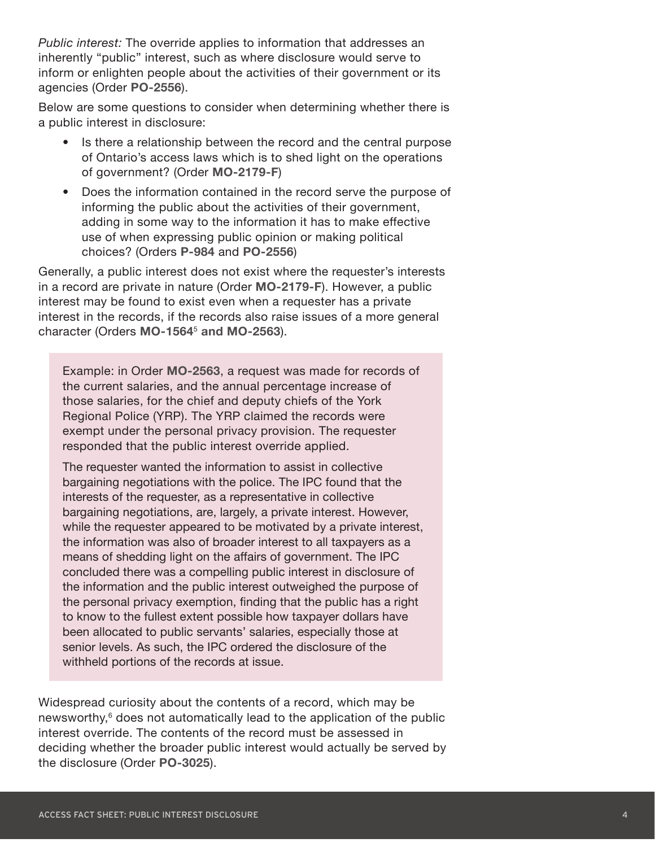<span id="page-3-0"></span>*Public interest:* The override applies to information that addresses an inherently "public" interest, such as where disclosure would serve to inform or enlighten people about the activities of their government or its agencies (Order **[PO-2556](https://decisions.ipc.on.ca/ipc-cipvp/orders/en/item/132726/index.do?q=PO-2556)**).

Below are some questions to consider when determining whether there is a public interest in disclosure:

- Is there a relationship between the record and the central purpose of Ontario's access laws which is to shed light on the operations of government? (Order **[MO-2179-F](https://decisions.ipc.on.ca/ipc-cipvp/orders/en/item/132880/index.do?q=Order+MO-2179)**)
- Does the information contained in the record serve the purpose of informing the public about the activities of their government, adding in some way to the information it has to make effective use of when expressing public opinion or making political choices? (Orders **[P-984](https://decisions.ipc.on.ca/ipc-cipvp/orders/en/item/129549/index.do?q=P-984)** and **[PO-2556](https://decisions.ipc.on.ca/ipc-cipvp/orders/en/item/132726/index.do?q=PO-2556)**)

Generally, a public interest does not exist where the requester's interests in a record are private in nature (Order **[MO-2179-F](https://decisions.ipc.on.ca/ipc-cipvp/orders/en/item/132880/index.do?q=MO-2179)**). However, a public interest may be found to exist even when a requester has a private interest in the records, if the records also raise issues of a more general character (Orders **[MO-1564](https://decisions.ipc.on.ca/ipc-cipvp/orders/en/item/131600/index.do?q=MO-1564)**[5](#page-9-0) **and [MO-2563](https://decisions.ipc.on.ca/ipc-cipvp/orders/en/item/133529/index.do?q=MO-2563)**).

Example: in Order **[MO-2563](https://decisions.ipc.on.ca/ipc-cipvp/orders/en/item/133529/index.do?q=MO-2563)**, a request was made for records of the current salaries, and the annual percentage increase of those salaries, for the chief and deputy chiefs of the York Regional Police (YRP). The YRP claimed the records were exempt under the personal privacy provision. The requester responded that the public interest override applied.

The requester wanted the information to assist in collective bargaining negotiations with the police. The IPC found that the interests of the requester, as a representative in collective bargaining negotiations, are, largely, a private interest. However, while the requester appeared to be motivated by a private interest, the information was also of broader interest to all taxpayers as a means of shedding light on the affairs of government. The IPC concluded there was a compelling public interest in disclosure of the information and the public interest outweighed the purpose of the personal privacy exemption, finding that the public has a right to know to the fullest extent possible how taxpayer dollars have been allocated to public servants' salaries, especially those at senior levels. As such, the IPC ordered the disclosure of the withheld portions of the records at issue.

Widespread curiosity about the contents of a record, which may be newsworthy,<sup>6</sup> does not automatically lead to the application of the public interest override. The contents of the record must be assessed in deciding whether the broader public interest would actually be served by the disclosure (Order **[PO-3025](https://decisions.ipc.on.ca/ipc-cipvp/orders/en/item/133758/index.do?site_preference=normal)**).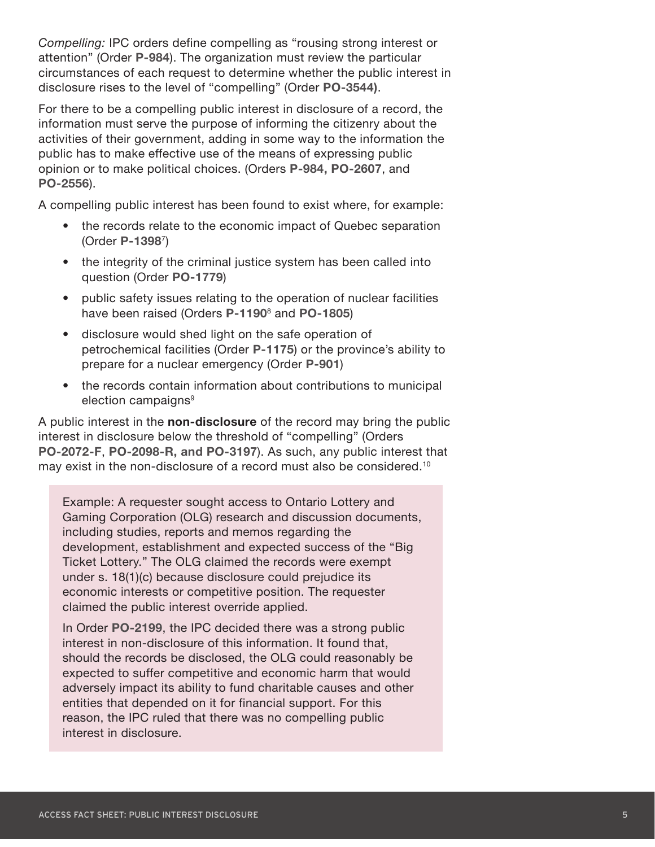<span id="page-4-0"></span>*Compelling:* IPC orders define compelling as "rousing strong interest or attention" (Order **[P-984](https://decisions.ipc.on.ca/ipc-cipvp/orders/en/item/129549/index.do?q=P-984)**). The organization must review the particular circumstances of each request to determine whether the public interest in disclosure rises to the level of "compelling" (Order **[PO-3544\)](https://decisions.ipc.on.ca/ipc-cipvp/orders/en/item/134800/index.do?site_preference=normal)**.

For there to be a compelling public interest in disclosure of a record, the information must serve the purpose of informing the citizenry about the activities of their government, adding in some way to the information the public has to make effective use of the means of expressing public opinion or to make political choices. (Orders **[P-984,](https://decisions.ipc.on.ca/ipc-cipvp/orders/en/item/129549/index.do?q=P-984+) [PO-2607](https://decisions.ipc.on.ca/ipc-cipvp/orders/en/item/132867/index.do?q=PO-2607)**, and **[PO-2556](https://decisions.ipc.on.ca/ipc-cipvp/orders/en/item/132726/index.do?q=PO-2556)**).

A compelling public interest has been found to exist where, for example:

- the records relate to the economic impact of Quebec separation (Order **[P-1398](https://decisions.ipc.on.ca/ipc-cipvp/orders/en/item/130301/index.do?q=P-1398)**[7\)](#page-9-0)
- the integrity of the criminal justice system has been called into question (Order **[PO-1779](https://decisions.ipc.on.ca/ipc-cipvp/orders/en/item/131168/index.do?q=PO-1779)**)
- public safety issues relating to the operation of nuclear facilities have been raised (Orders **[P-1190](https://decisions.ipc.on.ca/ipc-cipvp/orders/en/item/129855/index.do?q=P-1190)**[8](#page-9-0) and **[PO-1805](https://decisions.ipc.on.ca/ipc-cipvp/orders/en/item/131092/index.do?q=PO-1805)**)
- disclosure would shed light on the safe operation of petrochemical facilities (Order **[P-1175](https://decisions.ipc.on.ca/ipc-cipvp/orders/en/item/129847/index.do?q=P-1175)**) or the province's ability to prepare for a nuclear emergency (Order **[P-901](https://decisions.ipc.on.ca/ipc-cipvp/orders/en/item/129266/index.do?q=P-901)**)
- the records contain information about contributions to municipal election campaigns<sup>9</sup>

A public interest in the **non-disclosure** of the record may bring the public interest in disclosure below the threshold of "compelling" (Orders **[PO-2072-F](https://decisions.ipc.on.ca/ipc-cipvp/orders/en/item/131715/index.do?q=PO-2072-F)**, **[PO-2098-R](https://decisions.ipc.on.ca/ipc-cipvp/orders/en/item/131763/index.do?q=PO-2098-R+), and [PO-3197](https://decisions.ipc.on.ca/ipc-cipvp/orders/en/item/134129/index.do?q=PO-3197)**). As such, any public interest that may exist in the non-disclosure of a record must also be considered.<sup>10</sup>

Example: A requester sought access to Ontario Lottery and Gaming Corporation (OLG) research and discussion documents, including studies, reports and memos regarding the development, establishment and expected success of the "Big Ticket Lottery." The OLG claimed the records were exempt under s. 18(1)(c) because disclosure could prejudice its economic interests or competitive position. The requester claimed the public interest override applied.

In Order **[PO-2199](https://decisions.ipc.on.ca/ipc-cipvp/orders/en/item/131916/index.do?q=PO-2199+)**, the IPC decided there was a strong public interest in non-disclosure of this information. It found that, should the records be disclosed, the OLG could reasonably be expected to suffer competitive and economic harm that would adversely impact its ability to fund charitable causes and other entities that depended on it for financial support. For this reason, the IPC ruled that there was no compelling public interest in disclosure.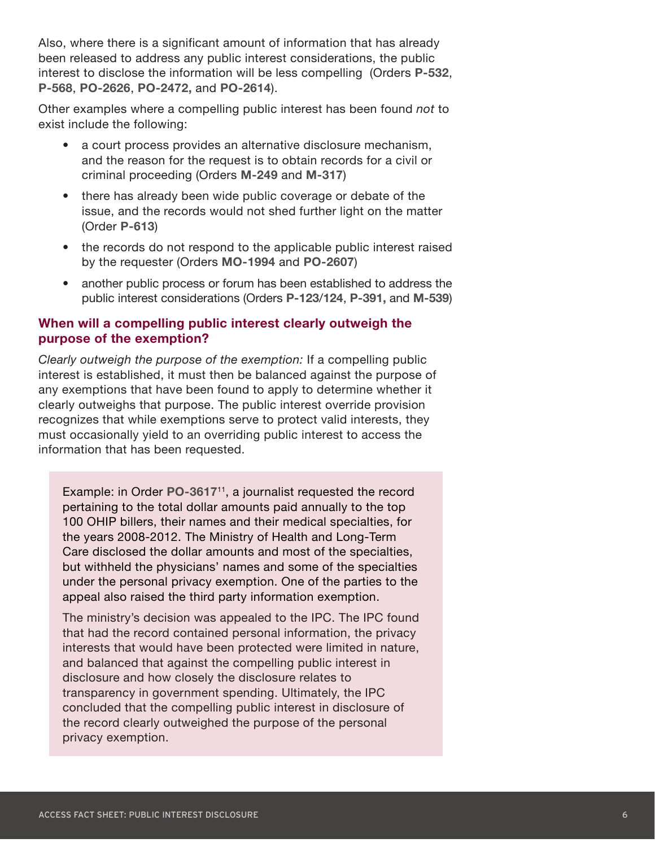<span id="page-5-0"></span>Also, where there is a significant amount of information that has already been released to address any public interest considerations, the public interest to disclose the information will be less compelling (Orders **[P-532](https://decisions.ipc.on.ca/ipc-cipvp/orders/en/item/128609/index.do?q=P-532+)**, **[P-568](https://decisions.ipc.on.ca/ipc-cipvp/orders/en/item/128657/index.do?q=P-568)**, **[PO-2626](https://decisions.ipc.on.ca/ipc-cipvp/orders/en/item/132985/index.do?q=PO-2626)**, **[PO-2472](https://decisions.ipc.on.ca/ipc-cipvp/orders/en/item/132539/index.do?q=PO-2472+),** and **[PO-2614](https://decisions.ipc.on.ca/ipc-cipvp/orders/en/item/133010/index.do?q=PO-2614)**).

Other examples where a compelling public interest has been found *not* to exist include the following:

- a court process provides an alternative disclosure mechanism, and the reason for the request is to obtain records for a civil or criminal proceeding (Orders **[M-249](https://decisions.ipc.on.ca/ipc-cipvp/orders/en/item/128730/index.do?q=M-249+)** and **[M-317](https://decisions.ipc.on.ca/ipc-cipvp/orders/en/item/128996/index.do?q=M-317)**)
- there has already been wide public coverage or debate of the issue, and the records would not shed further light on the matter (Order **[P-613](https://decisions.ipc.on.ca/ipc-cipvp/orders/en/item/128785/index.do?q=P-613)**)
- the records do not respond to the applicable public interest raised by the requester (Orders **[MO-1994](https://decisions.ipc.on.ca/ipc-cipvp/orders/en/item/132486/index.do?q=MO-1994+)** and **[PO-2607](https://decisions.ipc.on.ca/ipc-cipvp/orders/en/item/132867/index.do?q=PO-2607)**)
- another public process or forum has been established to address the public interest considerations (Orders **[P-123](https://decisions.ipc.on.ca/ipc-cipvp/orders/en/item/127988/index.do?q=P-123)**/**[124](https://decisions.ipc.on.ca/ipc-cipvp/orders/en/item/127975/index.do?q=P-124)**, **[P-391](https://decisions.ipc.on.ca/ipc-cipvp/orders/en/item/128317/index.do?q=P-391+),** and **[M-539](https://decisions.ipc.on.ca/ipc-cipvp/orders/en/item/129412/index.do?q=M-539)**)

#### **When will a compelling public interest clearly outweigh the purpose of the exemption?**

*Clearly outweigh the purpose of the exemption:* If a compelling public interest is established, it must then be balanced against the purpose of any exemptions that have been found to apply to determine whether it clearly outweighs that purpose. The public interest override provision recognizes that while exemptions serve to protect valid interests, they must occasionally yield to an overriding public interest to access the information that has been requested.

Example: in Order **[PO-3617](https://decisions.ipc.on.ca/ipc-cipvp/orders/en/item/168848/index.do?q=PO-3617)**[11,](#page-9-0) a journalist requested the record pertaining to the total dollar amounts paid annually to the top 100 OHIP billers, their names and their medical specialties, for the years 2008-2012. The Ministry of Health and Long-Term Care disclosed the dollar amounts and most of the specialties, but withheld the physicians' names and some of the specialties under the personal privacy exemption. One of the parties to the appeal also raised the third party information exemption.

The ministry's decision was appealed to the IPC. The IPC found that had the record contained personal information, the privacy interests that would have been protected were limited in nature, and balanced that against the compelling public interest in disclosure and how closely the disclosure relates to transparency in government spending. Ultimately, the IPC concluded that the compelling public interest in disclosure of the record clearly outweighed the purpose of the personal privacy exemption.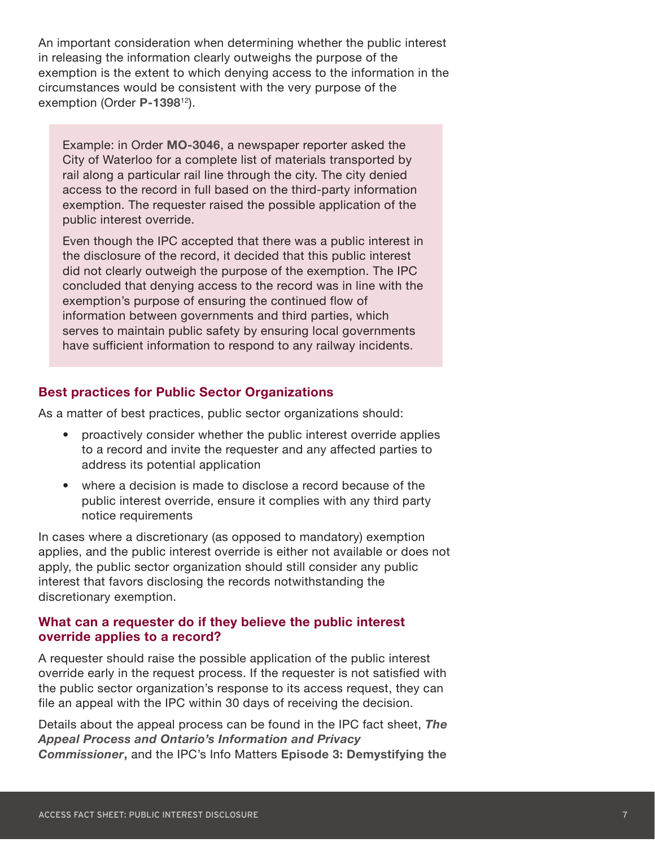<span id="page-6-0"></span>An important consideration when determining whether the public interest in releasing the information clearly outweighs the purpose of the exemption is the extent to which denying access to the information in the circumstances would be consistent with the very purpose of the exemption (Order **[P-1398](https://decisions.ipc.on.ca/ipc-cipvp/orders/en/item/130301/index.do?q=1398)**[12](#page-9-0)).

Example: in Order **[MO-3046](https://decisions.ipc.on.ca/ipc-cipvp/orders/en/item/134416/index.do?q=MO-3046)**, a newspaper reporter asked the City of Waterloo for a complete list of materials transported by rail along a particular rail line through the city. The city denied access to the record in full based on the third-party information exemption. The requester raised the possible application of the public interest override.

Even though the IPC accepted that there was a public interest in the disclosure of the record, it decided that this public interest did not clearly outweigh the purpose of the exemption. The IPC concluded that denying access to the record was in line with the exemption's purpose of ensuring the continued flow of information between governments and third parties, which serves to maintain public safety by ensuring local governments have sufficient information to respond to any railway incidents.

#### **Best practices for Public Sector Organizations**

As a matter of best practices, public sector organizations should:

- proactively consider whether the public interest override applies to a record and invite the requester and any affected parties to address its potential application
- where a decision is made to disclose a record because of the public interest override, ensure it complies with any third party notice requirements

In cases where a discretionary (as opposed to mandatory) exemption applies, and the public interest override is either not available or does not apply, the public sector organization should still consider any public interest that favors disclosing the records notwithstanding the discretionary exemption.

#### **What can a requester do if they believe the public interest override applies to a record?**

A requester should raise the possible application of the public interest override early in the request process. If the requester is not satisfied with the public sector organization's response to its access request, they can file an appeal with the IPC within 30 days of receiving the decision.

Details about the appeal process can be found in the IPC fact sheet, *[The](https://www.ipc.on.ca/resource/the-appeal-process-and-ontarios-information-and-privacy-commissioner/)  [Appeal Process and Ontario's Information and Privacy](https://www.ipc.on.ca/resource/the-appeal-process-and-ontarios-information-and-privacy-commissioner/)  [Commissioner](https://www.ipc.on.ca/resource/the-appeal-process-and-ontarios-information-and-privacy-commissioner/)***,** and the IPC's Info Matters **[Episode 3: Demystifying the](https://www.ipc.on.ca/guidance-documents/info-matters-podcast/info-matters-episode-3-demystifying-the-foi-process/)**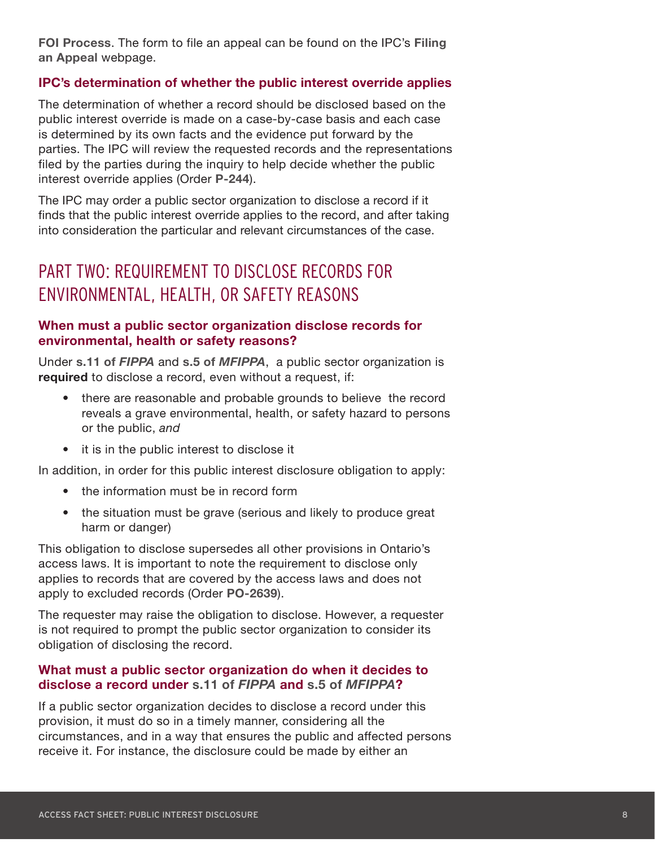**[FOI Process](https://www.ipc.on.ca/guidance-documents/info-matters-podcast/info-matters-episode-3-demystifying-the-foi-process/)**. The form to file an appeal can be found on the IPC's **[Filing](https://www.ipc.on.ca/access-individuals/filing-an-appeal/)  [an Appeal](https://www.ipc.on.ca/access-individuals/filing-an-appeal/)** webpage.

#### **IPC's determination of whether the public interest override applies**

The determination of whether a record should be disclosed based on the public interest override is made on a case-by-case basis and each case is determined by its own facts and the evidence put forward by the parties. The IPC will review the requested records and the representations filed by the parties during the inquiry to help decide whether the public interest override applies (Order **[P-244](https://decisions.ipc.on.ca/ipc-cipvp/orders/en/item/127969/index.do?q=P-244)**).

The IPC may order a public sector organization to disclose a record if it finds that the public interest override applies to the record, and after taking into consideration the particular and relevant circumstances of the case.

## PART TWO: REQUIREMENT TO DISCLOSE RECORDS FOR ENVIRONMENTAL, HEALTH, OR SAFETY REASONS

#### **When must a public sector organization disclose records for environmental, health or safety reasons?**

Under **[s.11 of](https://www.ontario.ca/laws/statute/90f31#BK22)** *FIPPA* and **s.5 of** *[MFIPPA](https://www.ontario.ca/laws/statute/90m56#BK7)*, a public sector organization is **required** to disclose a record, even without a request, if:

- there are reasonable and probable grounds to believe the record reveals a grave environmental, health, or safety hazard to persons or the public, *and*
- it is in the public interest to disclose it

In addition, in order for this public interest disclosure obligation to apply:

- the information must be in record form
- the situation must be grave (serious and likely to produce great harm or danger)

This obligation to disclose supersedes all other provisions in Ontario's access laws. It is important to note the requirement to disclose only applies to records that are covered by the access laws and does not apply to excluded records (Order **[PO-2639](https://decisions.ipc.on.ca/ipc-cipvp/orders/en/132862/1/document.do)**).

The requester may raise the obligation to disclose. However, a requester is not required to prompt the public sector organization to consider its obligation of disclosing the record.

#### **What must a public sector organization do when it decides to disclose a record under [s.11 of](https://www.ontario.ca/laws/statute/90f31#BK22)** *FIPPA* **and s.5 of** *[MFIPPA](https://www.ontario.ca/laws/statute/90m56#BK7)***?**

If a public sector organization decides to disclose a record under this provision, it must do so in a timely manner, considering all the circumstances, and in a way that ensures the public and affected persons receive it. For instance, the disclosure could be made by either an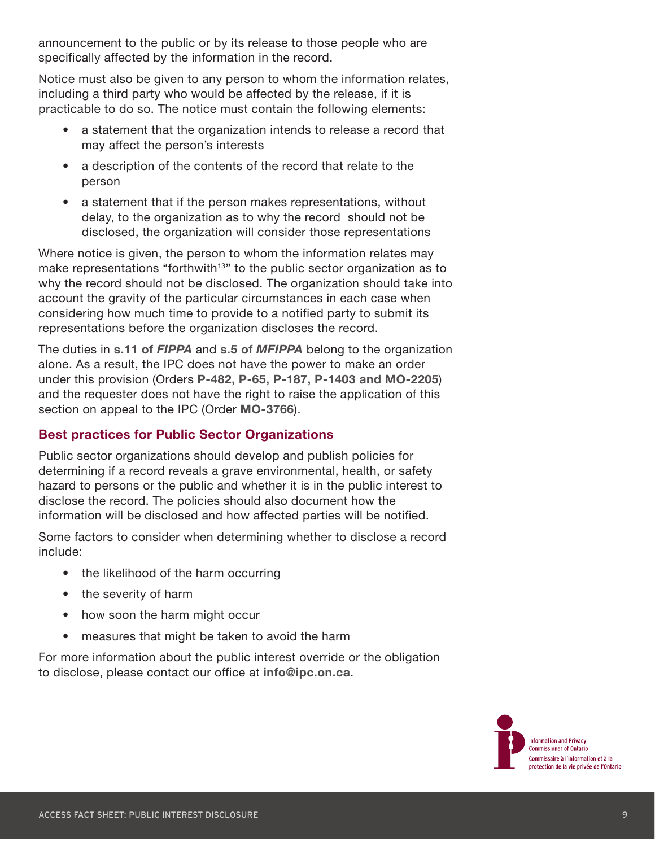<span id="page-8-0"></span>announcement to the public or by its release to those people who are specifically affected by the information in the record.

Notice must also be given to any person to whom the information relates, including a third party who would be affected by the release, if it is practicable to do so. The notice must contain the following elements:

- a statement that the organization intends to release a record that may affect the person's interests
- a description of the contents of the record that relate to the person
- a statement that if the person makes representations, without delay, to the organization as to why the record should not be disclosed, the organization will consider those representations

Where notice is given, the person to whom the information relates may make representations "forthwith<sup>13"</sup> to the public sector organization as to why the record should not be disclosed. The organization should take into account the gravity of the particular circumstances in each case when considering how much time to provide to a notified party to submit its representations before the organization discloses the record.

The duties in **[s.11 of](https://www.ontario.ca/laws/statute/90f31#BK22)** *FIPPA* and **s.5 of** *[MFIPPA](https://www.ontario.ca/laws/statute/90m56#BK7)* belong to the organization alone. As a result, the IPC does not have the power to make an order under this provision (Orders **[P-482,](https://decisions.ipc.on.ca/ipc-cipvp/orders/en/item/128506/index.do?q=P-482) [P-65,](https://decisions.ipc.on.ca/ipc-cipvp/orders/en/item/127926/index.do?q=p-65) [P-187](https://decisions.ipc.on.ca/ipc-cipvp/orders/en/item/128023/index.do?q=P-187), [P-1403](https://decisions.ipc.on.ca/ipc-cipvp/orders/en/item/134931/index.do?q=P-1403+) and [MO-2205](https://decisions.ipc.on.ca/ipc-cipvp/orders/en/item/132855/index.do?q=MO-2205)**) and the requester does not have the right to raise the application of this section on appeal to the IPC (Order **[MO-3766](https://decisions.ipc.on.ca/ipc-cipvp/orders/en/item/406696/index.do?q=MO-3766)**).

#### **Best practices for Public Sector Organizations**

Public sector organizations should develop and publish policies for determining if a record reveals a grave environmental, health, or safety hazard to persons or the public and whether it is in the public interest to disclose the record. The policies should also document how the information will be disclosed and how affected parties will be notified.

Some factors to consider when determining whether to disclose a record include:

- the likelihood of the harm occurring
- the severity of harm
- how soon the harm might occur
- measures that might be taken to avoid the harm

For more information about the public interest override or the obligation to disclose, please contact our office at **[info@ipc.on.ca](mailto:info@ipc.on.ca)**.